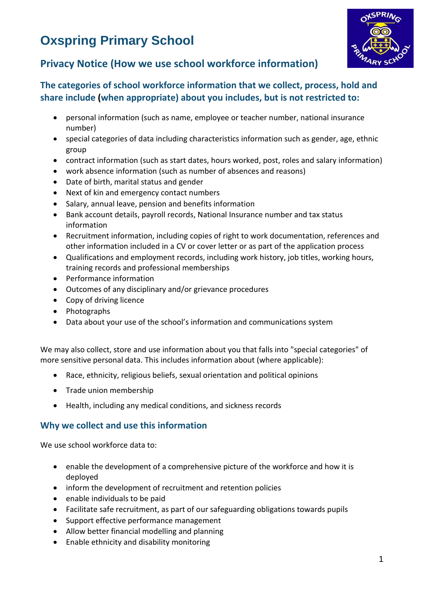# **Oxspring Primary School**



# **Privacy Notice (How we use school workforce information)**

# **The categories of school workforce information that we collect, process, hold and share include (when appropriate) about you includes, but is not restricted to:**

- personal information (such as name, employee or teacher number, national insurance number)
- special categories of data including characteristics information such as gender, age, ethnic group
- contract information (such as start dates, hours worked, post, roles and salary information)
- work absence information (such as number of absences and reasons)
- Date of birth, marital status and gender
- Next of kin and emergency contact numbers
- Salary, annual leave, pension and benefits information
- Bank account details, payroll records, National Insurance number and tax status information
- Recruitment information, including copies of right to work documentation, references and other information included in a CV or cover letter or as part of the application process
- Qualifications and employment records, including work history, job titles, working hours, training records and professional memberships
- Performance information
- Outcomes of any disciplinary and/or grievance procedures
- Copy of driving licence
- Photographs
- Data about your use of the school's information and communications system

We may also collect, store and use information about you that falls into "special categories" of more sensitive personal data. This includes information about (where applicable):

- Race, ethnicity, religious beliefs, sexual orientation and political opinions
- Trade union membership
- Health, including any medical conditions, and sickness records

# **Why we collect and use this information**

We use school workforce data to:

- enable the development of a comprehensive picture of the workforce and how it is deployed
- inform the development of recruitment and retention policies
- enable individuals to be paid
- Facilitate safe recruitment, as part of our safeguarding obligations towards pupils
- Support effective performance management
- Allow better financial modelling and planning
- Enable ethnicity and disability monitoring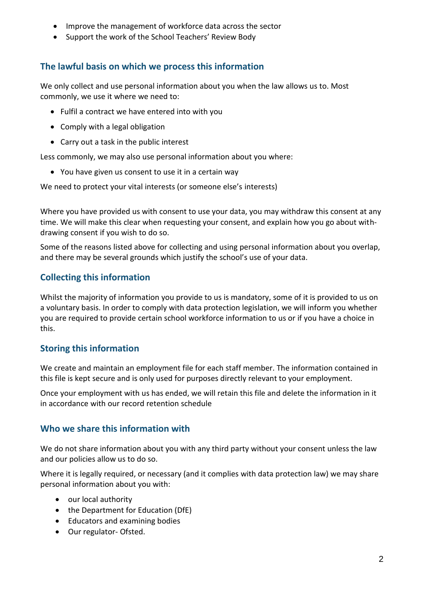- Improve the management of workforce data across the sector
- Support the work of the School Teachers' Review Body

# **The lawful basis on which we process this information**

We only collect and use personal information about you when the law allows us to. Most commonly, we use it where we need to:

- Fulfil a contract we have entered into with you
- Comply with a legal obligation
- Carry out a task in the public interest

Less commonly, we may also use personal information about you where:

You have given us consent to use it in a certain way

We need to protect your vital interests (or someone else's interests)

Where you have provided us with consent to use your data, you may withdraw this consent at any time. We will make this clear when requesting your consent, and explain how you go about withdrawing consent if you wish to do so.

Some of the reasons listed above for collecting and using personal information about you overlap, and there may be several grounds which justify the school's use of your data.

# **Collecting this information**

Whilst the majority of information you provide to us is mandatory, some of it is provided to us on a voluntary basis. In order to comply with data protection legislation, we will inform you whether you are required to provide certain school workforce information to us or if you have a choice in this.

# **Storing this information**

We create and maintain an employment file for each staff member. The information contained in this file is kept secure and is only used for purposes directly relevant to your employment.

Once your employment with us has ended, we will retain this file and delete the information in it in accordance with our record retention schedule

#### **Who we share this information with**

We do not share information about you with any third party without your consent unless the law and our policies allow us to do so.

Where it is legally required, or necessary (and it complies with data protection law) we may share personal information about you with:

- our local authority
- the Department for Education (DfE)
- Educators and examining bodies
- Our regulator- Ofsted.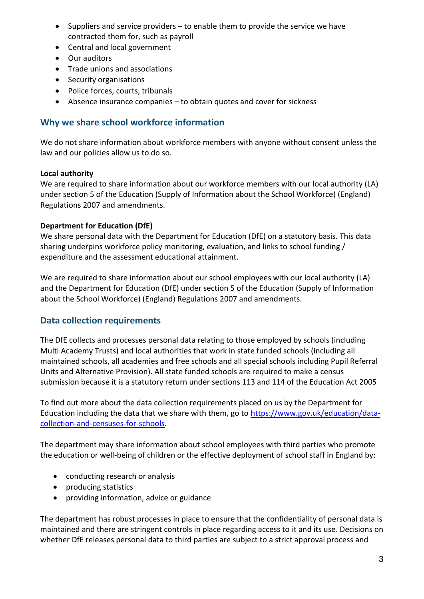- Suppliers and service providers to enable them to provide the service we have contracted them for, such as payroll
- Central and local government
- Our auditors
- Trade unions and associations
- Security organisations
- Police forces, courts, tribunals
- Absence insurance companies to obtain quotes and cover for sickness

### **Why we share school workforce information**

We do not share information about workforce members with anyone without consent unless the law and our policies allow us to do so.

#### **Local authority**

We are required to share information about our workforce members with our local authority (LA) under section 5 of the Education (Supply of Information about the School Workforce) (England) Regulations 2007 and amendments.

#### **Department for Education (DfE)**

We share personal data with the Department for Education (DfE) on a statutory basis. This data sharing underpins workforce policy monitoring, evaluation, and links to school funding / expenditure and the assessment educational attainment.

We are required to share information about our school employees with our local authority (LA) and the Department for Education (DfE) under section 5 of the Education (Supply of Information about the School Workforce) (England) Regulations 2007 and amendments.

#### **Data collection requirements**

The DfE collects and processes personal data relating to those employed by schools (including Multi Academy Trusts) and local authorities that work in state funded schools (including all maintained schools, all academies and free schools and all special schools including Pupil Referral Units and Alternative Provision). All state funded schools are required to make a census submission because it is a statutory return under sections 113 and 114 of the Education Act 2005

To find out more about the data collection requirements placed on us by the Department for Education including the data that we share with them, go to [https://www.gov.uk/education/data](https://www.gov.uk/education/data-collection-and-censuses-for-schools)[collection-and-censuses-for-schools.](https://www.gov.uk/education/data-collection-and-censuses-for-schools)

The department may share information about school employees with third parties who promote the education or well-being of children or the effective deployment of school staff in England by:

- conducting research or analysis
- producing statistics
- providing information, advice or guidance

The department has robust processes in place to ensure that the confidentiality of personal data is maintained and there are stringent controls in place regarding access to it and its use. Decisions on whether DfE releases personal data to third parties are subject to a strict approval process and